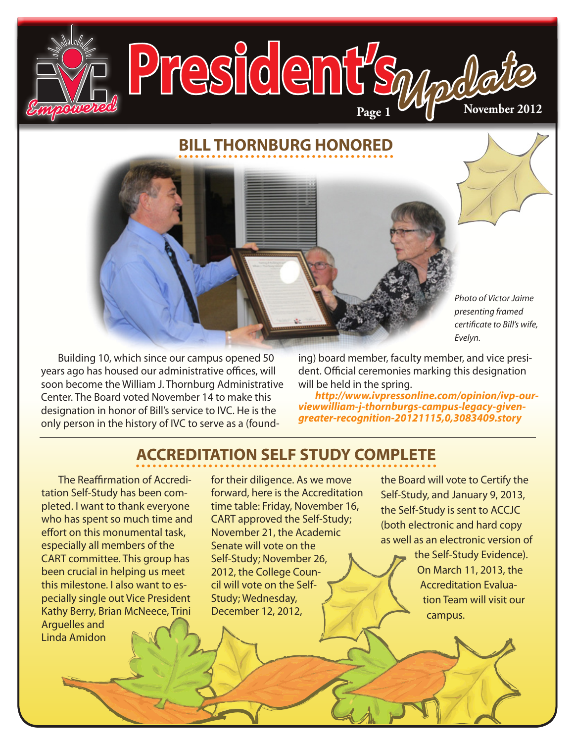## **BILL THORNBURG HONORED**

**PSIGENT Space Color B** 

**Page 1**

*Photo of Victor Jaime presenting framed certificate to Bill's wife, Evelyn.*

Building 10, which since our campus opened 50 years ago has housed our administrative offices, will soon become the William J. Thornburg Administrative Center. The Board voted November 14 to make this designation in honor of Bill's service to IVC. He is the only person in the history of IVC to serve as a (founding) board member, faculty member, and vice president. Official ceremonies marking this designation will be held in the spring.

*[http://www.ivpressonline.com/opinion/ivp-our](http://www.ivpressonline.com/opinion/ivp-our-viewwilliam-j-thornburgs-campus-legacy-given-greater-recognition-20121115,0,3083409.story)[viewwilliam-j-thornburgs-campus-legacy-given](http://www.ivpressonline.com/opinion/ivp-our-viewwilliam-j-thornburgs-campus-legacy-given-greater-recognition-20121115,0,3083409.story)[greater-recognition-20121115,0,3083409.story](http://www.ivpressonline.com/opinion/ivp-our-viewwilliam-j-thornburgs-campus-legacy-given-greater-recognition-20121115,0,3083409.story)*

## **ACCREDITATION SELF STUDY COMPLETE**

The Reaffirmation of Accreditation Self-Study has been completed. I want to thank everyone who has spent so much time and effort on this monumental task, especially all members of the CART committee. This group has been crucial in helping us meet this milestone. I also want to especially single out Vice President Kathy Berry, Brian McNeece, Trini Arguelles and Linda Amidon

for their diligence. As we move forward, here is the Accreditation time table: Friday, November 16, CART approved the Self-Study; November 21, the Academic Senate will vote on the Self-Study; November 26, 2012, the College Council will vote on the Self-Study; Wednesday, December 12, 2012,

the Board will vote to Certify the Self-Study, and January 9, 2013, the Self-Study is sent to ACCJC (both electronic and hard copy as well as an electronic version of

> the Self-Study Evidence). On March 11, 2013, the Accreditation Evaluation Team will visit our campus.